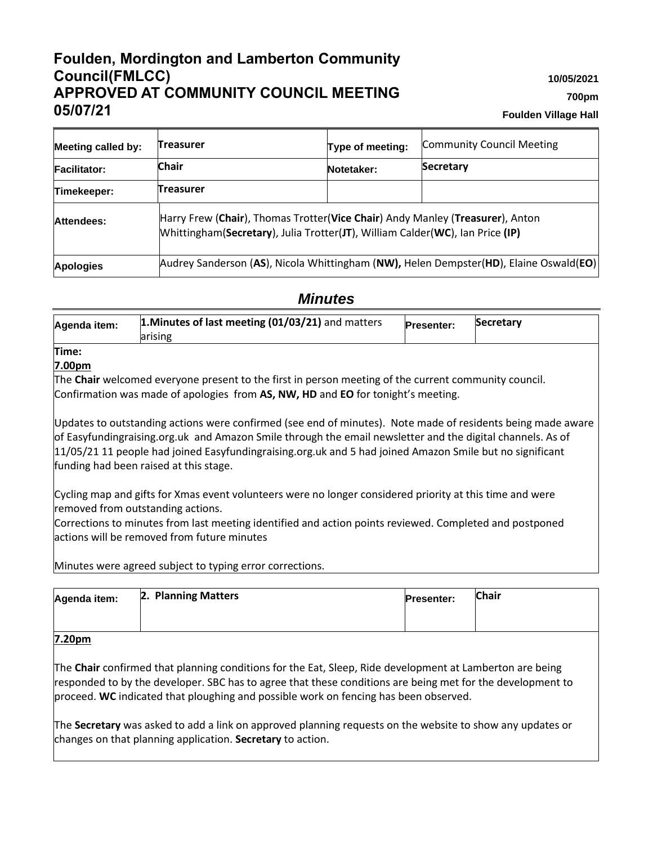# **Foulden, Mordington and Lamberton Community Council(FMLCC) APPROVED AT COMMUNITY COUNCIL MEETING 05/07/21**

**10/05/2021**

**700pm**

**Foulden Village Hall**

| <b>Meeting called by:</b> | <b>Treasurer</b>                                                                                                                                               | Type of meeting: | <b>Community Council Meeting</b> |  |  |  |  |
|---------------------------|----------------------------------------------------------------------------------------------------------------------------------------------------------------|------------------|----------------------------------|--|--|--|--|
| <b>Facilitator:</b>       | <b>Chair</b>                                                                                                                                                   | Notetaker:       | Secretary                        |  |  |  |  |
| Timekeeper:               | <b>Treasurer</b>                                                                                                                                               |                  |                                  |  |  |  |  |
| Attendees:                | Harry Frew (Chair), Thomas Trotter(Vice Chair) Andy Manley (Treasurer), Anton<br>Whittingham(Secretary), Julia Trotter(JT), William Calder(WC), Ian Price (IP) |                  |                                  |  |  |  |  |
| <b>Apologies</b>          | Audrey Sanderson (AS), Nicola Whittingham (NW), Helen Dempster(HD), Elaine Oswald(EO)                                                                          |                  |                                  |  |  |  |  |

# *Minutes*

| Agenda item: | 1. Minutes of last meeting (01/03/21) and matters<br>larising | <b>Presenter:</b> | <b>Secretary</b> |
|--------------|---------------------------------------------------------------|-------------------|------------------|
|              |                                                               |                   |                  |

#### **Time: 7.00pm**

The **Chair** welcomed everyone present to the first in person meeting of the current community council. Confirmation was made of apologies from **AS, NW, HD** and **EO** for tonight's meeting.

Updates to outstanding actions were confirmed (see end of minutes). Note made of residents being made aware of Easyfundingraising.org.uk and Amazon Smile through the email newsletter and the digital channels. As of 11/05/21 11 people had joined Easyfundingraising.org.uk and 5 had joined Amazon Smile but no significant funding had been raised at this stage.

Cycling map and gifts for Xmas event volunteers were no longer considered priority at this time and were removed from outstanding actions.

Corrections to minutes from last meeting identified and action points reviewed. Completed and postponed actions will be removed from future minutes

Minutes were agreed subject to typing error corrections.

| Agenda item:    | 2. Planning Matters | <b>Presenter:</b> | <b>Chair</b> |  |  |
|-----------------|---------------------|-------------------|--------------|--|--|
|                 |                     |                   |              |  |  |
| $7.28 \pm 0.00$ |                     |                   |              |  |  |

### **7.20pm**

The **Chair** confirmed that planning conditions for the Eat, Sleep, Ride development at Lamberton are being responded to by the developer. SBC has to agree that these conditions are being met for the development to proceed. **WC** indicated that ploughing and possible work on fencing has been observed.

The **Secretary** was asked to add a link on approved planning requests on the website to show any updates or changes on that planning application. **Secretary** to action.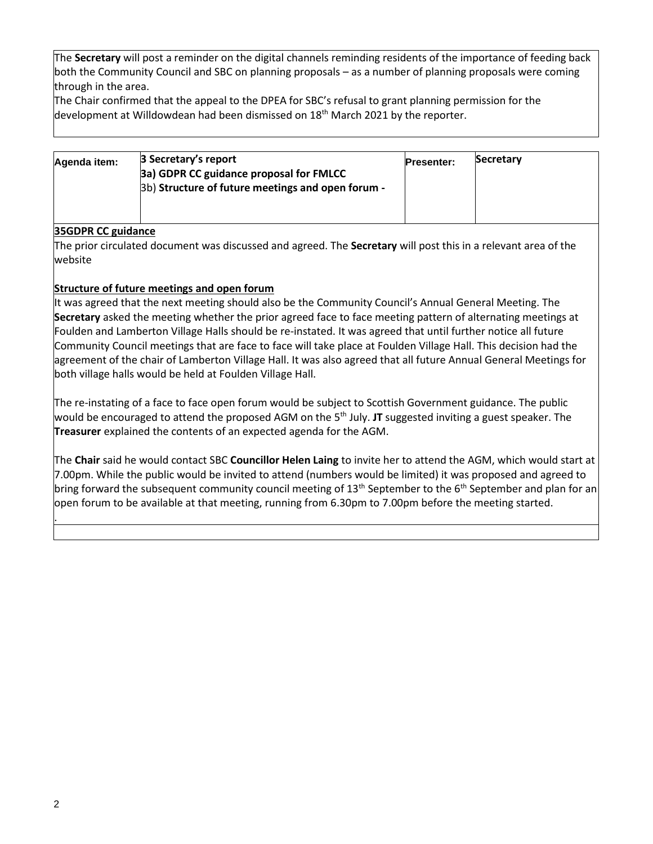The **Secretary** will post a reminder on the digital channels reminding residents of the importance of feeding back both the Community Council and SBC on planning proposals – as a number of planning proposals were coming through in the area.

The Chair confirmed that the appeal to the DPEA for SBC's refusal to grant planning permission for the development at Willdowdean had been dismissed on  $18<sup>th</sup>$  March 2021 by the reporter.

| Agenda item: | 3 Secretary's report<br>3a) GDPR CC guidance proposal for FMLCC<br>3b) Structure of future meetings and open forum - | <b>Presenter:</b> | Secretary |
|--------------|----------------------------------------------------------------------------------------------------------------------|-------------------|-----------|
|              |                                                                                                                      |                   |           |

### **35GDPR CC guidance**

The prior circulated document was discussed and agreed. The **Secretary** will post this in a relevant area of the website

### **Structure of future meetings and open forum**

It was agreed that the next meeting should also be the Community Council's Annual General Meeting. The **Secretary** asked the meeting whether the prior agreed face to face meeting pattern of alternating meetings at Foulden and Lamberton Village Halls should be re-instated. It was agreed that until further notice all future Community Council meetings that are face to face will take place at Foulden Village Hall. This decision had the agreement of the chair of Lamberton Village Hall. It was also agreed that all future Annual General Meetings for both village halls would be held at Foulden Village Hall.

The re-instating of a face to face open forum would be subject to Scottish Government guidance. The public would be encouraged to attend the proposed AGM on the 5<sup>th</sup> July. JT suggested inviting a guest speaker. The **Treasurer** explained the contents of an expected agenda for the AGM.

The **Chair** said he would contact SBC **Councillor Helen Laing** to invite her to attend the AGM, which would start at 7.00pm. While the public would be invited to attend (numbers would be limited) it was proposed and agreed to bring forward the subsequent community council meeting of 13<sup>th</sup> September to the 6<sup>th</sup> September and plan for an open forum to be available at that meeting, running from 6.30pm to 7.00pm before the meeting started.

.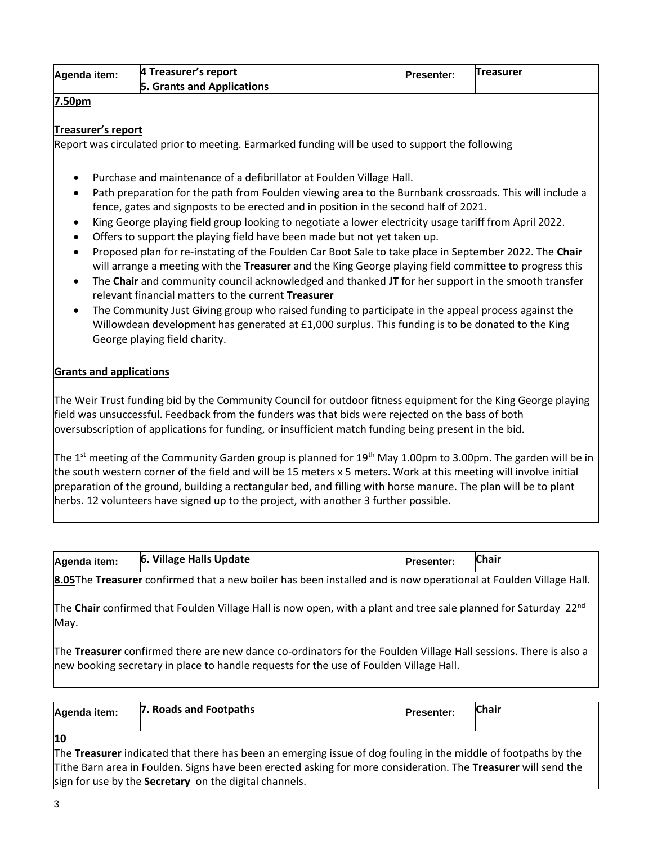| Agenda item: | 4 Treasurer's report       | <b>Presenter:</b> | <b>Treasurer</b> |
|--------------|----------------------------|-------------------|------------------|
|              | 5. Grants and Applications |                   |                  |

#### **7.50pm**

#### **Treasurer's report**

Report was circulated prior to meeting. Earmarked funding will be used to support the following

- Purchase and maintenance of a defibrillator at Foulden Village Hall.
- Path preparation for the path from Foulden viewing area to the Burnbank crossroads. This will include a fence, gates and signposts to be erected and in position in the second half of 2021.
- King George playing field group looking to negotiate a lower electricity usage tariff from April 2022.
- Offers to support the playing field have been made but not yet taken up.
- Proposed plan for re-instating of the Foulden Car Boot Sale to take place in September 2022. The **Chair** will arrange a meeting with the **Treasurer** and the King George playing field committee to progress this
- The **Chair** and community council acknowledged and thanked **JT** for her support in the smooth transfer relevant financial matters to the current **Treasurer**
- The Community Just Giving group who raised funding to participate in the appeal process against the Willowdean development has generated at £1,000 surplus. This funding is to be donated to the King George playing field charity.

#### **Grants and applications**

The Weir Trust funding bid by the Community Council for outdoor fitness equipment for the King George playing field was unsuccessful. Feedback from the funders was that bids were rejected on the bass of both oversubscription of applications for funding, or insufficient match funding being present in the bid.

The 1<sup>st</sup> meeting of the Community Garden group is planned for 19<sup>th</sup> May 1.00pm to 3.00pm. The garden will be in the south western corner of the field and will be 15 meters x 5 meters. Work at this meeting will involve initial preparation of the ground, building a rectangular bed, and filling with horse manure. The plan will be to plant herbs. 12 volunteers have signed up to the project, with another 3 further possible.

| Agenda item: | 6. | Village Halls Update |  |  | <b>Presenter:</b> | <b>Chair</b> |   |  |
|--------------|----|----------------------|--|--|-------------------|--------------|---|--|
|              |    |                      |  |  |                   |              | . |  |

**8.05**The **Treasurer** confirmed that a new boiler has been installed and is now operational at Foulden Village Hall.

The **Chair** confirmed that Foulden Village Hall is now open, with a plant and tree sale planned for Saturday 22nd May.

The **Treasurer** confirmed there are new dance co-ordinators for the Foulden Village Hall sessions. There is also a new booking secretary in place to handle requests for the use of Foulden Village Hall.

| Agenda item:                 | 7. Roads and Footpaths                                                                                        | <b>Presenter:</b> | <b>Chair</b> |
|------------------------------|---------------------------------------------------------------------------------------------------------------|-------------------|--------------|
| <u>10</u><br>http://www.com/ | to construit cardaignaid on ideal do construction to conflict for Posteal de Catilli, affroareal di Falle. In |                   |              |

The **Treasurer** indicated that there has been an emerging issue of dog fouling in the middle of footpaths by the Tithe Barn area in Foulden. Signs have been erected asking for more consideration. The **Treasurer** will send the sign for use by the **Secretary** on the digital channels.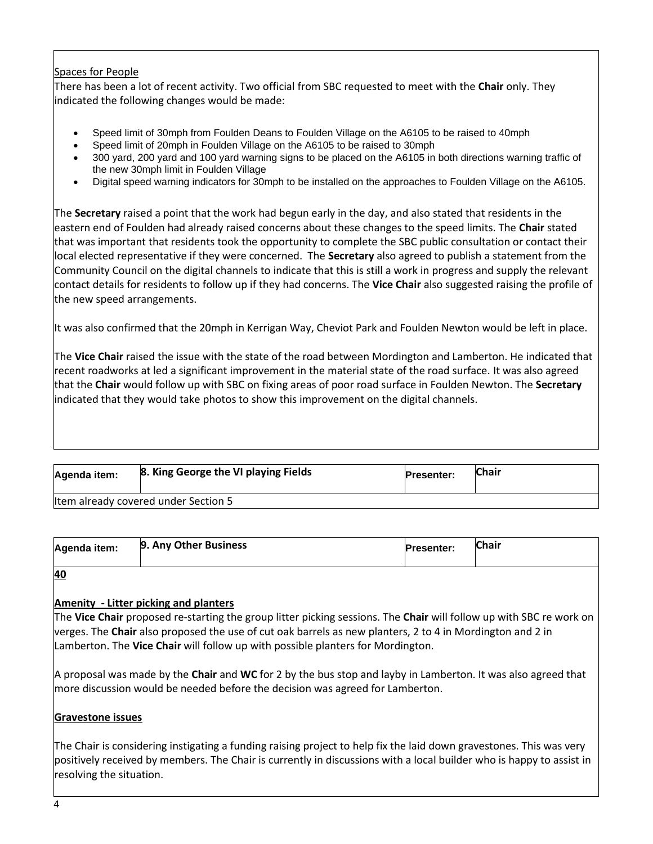### Spaces for People

There has been a lot of recent activity. Two official from SBC requested to meet with the **Chair** only. They indicated the following changes would be made:

- Speed limit of 30mph from Foulden Deans to Foulden Village on the A6105 to be raised to 40mph
- Speed limit of 20mph in Foulden Village on the A6105 to be raised to 30mph
- 300 yard, 200 yard and 100 yard warning signs to be placed on the A6105 in both directions warning traffic of the new 30mph limit in Foulden Village
- Digital speed warning indicators for 30mph to be installed on the approaches to Foulden Village on the A6105.

The **Secretary** raised a point that the work had begun early in the day, and also stated that residents in the eastern end of Foulden had already raised concerns about these changes to the speed limits. The **Chair** stated that was important that residents took the opportunity to complete the SBC public consultation or contact their local elected representative if they were concerned. The **Secretary** also agreed to publish a statement from the Community Council on the digital channels to indicate that this is still a work in progress and supply the relevant contact details for residents to follow up if they had concerns. The **Vice Chair** also suggested raising the profile of the new speed arrangements.

It was also confirmed that the 20mph in Kerrigan Way, Cheviot Park and Foulden Newton would be left in place.

The **Vice Chair** raised the issue with the state of the road between Mordington and Lamberton. He indicated that recent roadworks at led a significant improvement in the material state of the road surface. It was also agreed that the **Chair** would follow up with SBC on fixing areas of poor road surface in Foulden Newton. The **Secretary** indicated that they would take photos to show this improvement on the digital channels.

| Agenda item:                         | 8. King George the VI playing Fields | <b>Presenter:</b> | Chair |  |  |  |
|--------------------------------------|--------------------------------------|-------------------|-------|--|--|--|
| Item already covered under Section 5 |                                      |                   |       |  |  |  |

| Agenda item: | 9. Any Other Business | <b>Presenter:</b> | <b>Chair</b> |
|--------------|-----------------------|-------------------|--------------|
| 40           |                       |                   |              |

### **Amenity - Litter picking and planters**

The **Vice Chair** proposed re-starting the group litter picking sessions. The **Chair** will follow up with SBC re work on verges. The **Chair** also proposed the use of cut oak barrels as new planters, 2 to 4 in Mordington and 2 in Lamberton. The **Vice Chair** will follow up with possible planters for Mordington.

A proposal was made by the **Chair** and **WC** for 2 by the bus stop and layby in Lamberton. It was also agreed that more discussion would be needed before the decision was agreed for Lamberton.

#### **Gravestone issues**

The Chair is considering instigating a funding raising project to help fix the laid down gravestones. This was very positively received by members. The Chair is currently in discussions with a local builder who is happy to assist in resolving the situation.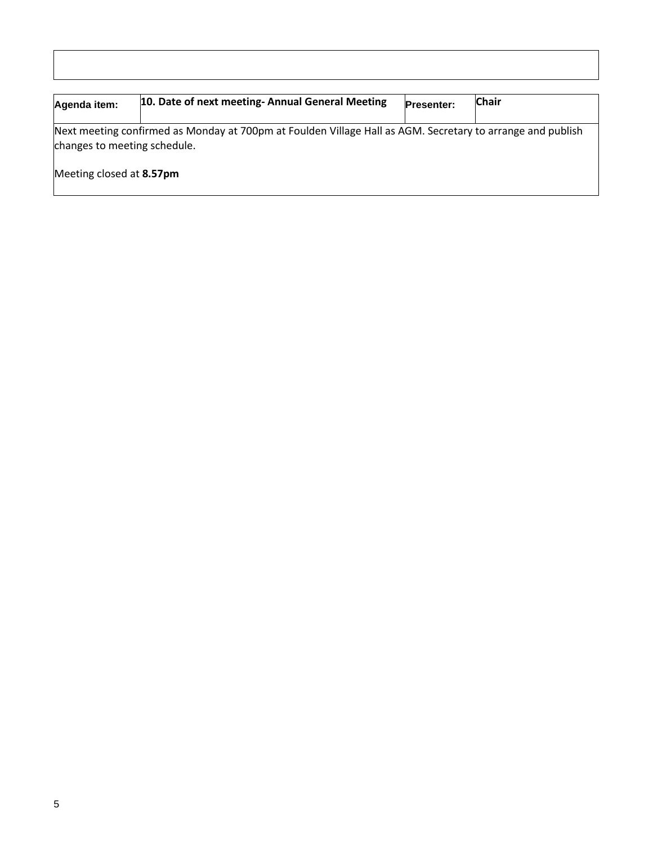| Agenda item:                                                                                                                               | 10. Date of next meeting- Annual General Meeting | <b>Presenter:</b> | <b>Chair</b> |  |  |  |
|--------------------------------------------------------------------------------------------------------------------------------------------|--------------------------------------------------|-------------------|--------------|--|--|--|
| Next meeting confirmed as Monday at 700pm at Foulden Village Hall as AGM. Secretary to arrange and publish<br>changes to meeting schedule. |                                                  |                   |              |  |  |  |
| Meeting closed at 8.57pm                                                                                                                   |                                                  |                   |              |  |  |  |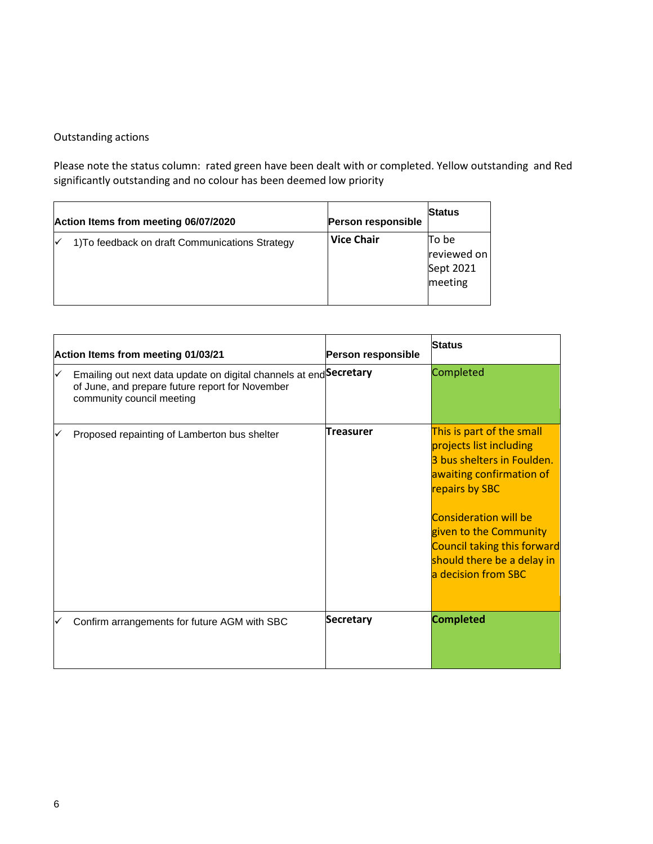### Outstanding actions

Please note the status column: rated green have been dealt with or completed. Yellow outstanding and Red significantly outstanding and no colour has been deemed low priority

| Action Items from meeting 06/07/2020            | Person responsible | <b>Status</b>                                |
|-------------------------------------------------|--------------------|----------------------------------------------|
| 1) To feedback on draft Communications Strategy | <b>Vice Chair</b>  | To be<br>reviewed on<br>Sept 2021<br>meeting |

| Action Items from meeting 01/03/21                                                                                                                 | Person responsible | <b>Status</b>                                                                                                                                                                                                                                                                         |
|----------------------------------------------------------------------------------------------------------------------------------------------------|--------------------|---------------------------------------------------------------------------------------------------------------------------------------------------------------------------------------------------------------------------------------------------------------------------------------|
| Emailing out next data update on digital channels at end Secretary<br>of June, and prepare future report for November<br>community council meeting |                    | Completed                                                                                                                                                                                                                                                                             |
| Proposed repainting of Lamberton bus shelter                                                                                                       | Treasurer          | This is part of the small<br>projects list including<br>3 bus shelters in Foulden.<br>awaiting confirmation of<br>repairs by SBC<br><b>Consideration will be</b><br>given to the Community<br><b>Council taking this forward</b><br>should there be a delay in<br>a decision from SBC |
| Confirm arrangements for future AGM with SBC                                                                                                       | <b>Secretary</b>   | <b>Completed</b>                                                                                                                                                                                                                                                                      |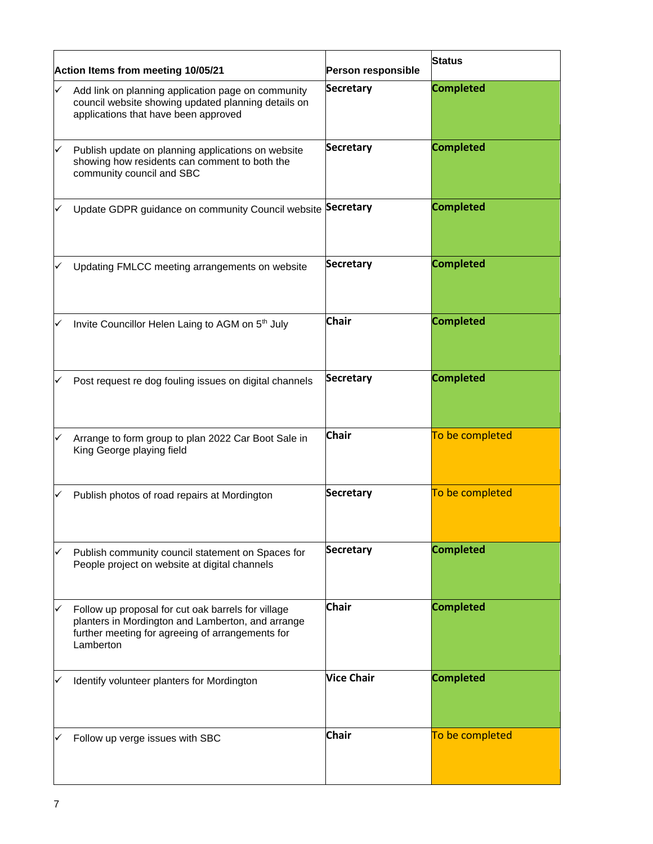| Action Items from meeting 10/05/21 |                                                                                                                                                                          | Person responsible | <b>Status</b>    |
|------------------------------------|--------------------------------------------------------------------------------------------------------------------------------------------------------------------------|--------------------|------------------|
|                                    | Add link on planning application page on community<br>council website showing updated planning details on<br>applications that have been approved                        | <b>Secretary</b>   | <b>Completed</b> |
| ✓                                  | Publish update on planning applications on website<br>showing how residents can comment to both the<br>community council and SBC                                         | <b>Secretary</b>   | <b>Completed</b> |
|                                    | Update GDPR guidance on community Council website                                                                                                                        | Secretary          | <b>Completed</b> |
|                                    | Updating FMLCC meeting arrangements on website                                                                                                                           | <b>Secretary</b>   | <b>Completed</b> |
|                                    | Invite Councillor Helen Laing to AGM on 5 <sup>th</sup> July                                                                                                             | <b>Chair</b>       | <b>Completed</b> |
|                                    | Post request re dog fouling issues on digital channels                                                                                                                   | <b>Secretary</b>   | <b>Completed</b> |
|                                    | Arrange to form group to plan 2022 Car Boot Sale in<br>King George playing field                                                                                         | <b>Chair</b>       | To be completed  |
|                                    | Publish photos of road repairs at Mordington                                                                                                                             | <b>Secretary</b>   | To be completed  |
| ✓                                  | Publish community council statement on Spaces for<br>People project on website at digital channels                                                                       | <b>Secretary</b>   | <b>Completed</b> |
|                                    | Follow up proposal for cut oak barrels for village<br>planters in Mordington and Lamberton, and arrange<br>further meeting for agreeing of arrangements for<br>Lamberton | <b>Chair</b>       | <b>Completed</b> |
|                                    | Identify volunteer planters for Mordington                                                                                                                               | <b>Vice Chair</b>  | <b>Completed</b> |
|                                    | Follow up verge issues with SBC                                                                                                                                          | <b>Chair</b>       | To be completed  |